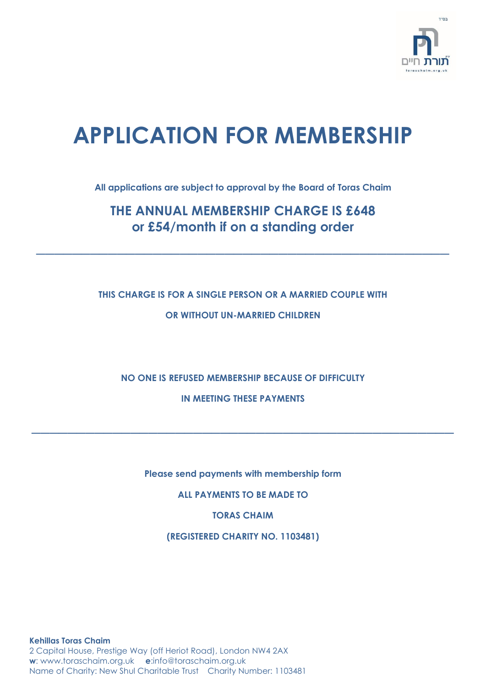

# **APPLICATION FOR MEMBERSHIP**

**All applications are subject to approval by the Board of Toras Chaim**

# **THE ANNUAL MEMBERSHIP CHARGE IS £648 or £54/month if on a standing order**

**\_\_\_\_\_\_\_\_\_\_\_\_\_\_\_\_\_\_\_\_\_\_\_\_\_\_\_\_\_\_\_\_\_\_\_\_\_\_\_\_\_\_\_\_\_\_**

# **THIS CHARGE IS FOR A SINGLE PERSON OR A MARRIED COUPLE WITH OR WITHOUT UN-MARRIED CHILDREN**

**NO ONE IS REFUSED MEMBERSHIP BECAUSE OF DIFFICULTY**

**IN MEETING THESE PAYMENTS**

**\_\_\_\_\_\_\_\_\_\_\_\_\_\_\_\_\_\_\_\_\_\_\_\_\_\_\_\_\_\_\_\_\_\_\_\_\_\_\_\_\_\_\_\_\_\_\_**

**Please send payments with membership form**

**ALL PAYMENTS TO BE MADE TO**

**TORAS CHAIM**

**(REGISTERED CHARITY NO. 1103481)**

**Kehillas Toras Chaim** 2 Capital House, Prestige Way (off Heriot Road), London NW4 2AX **w**: www.toraschaim.org.uk **e**:info@toraschaim.org.uk Name of Charity: New Shul Charitable Trust Charity Number: 1103481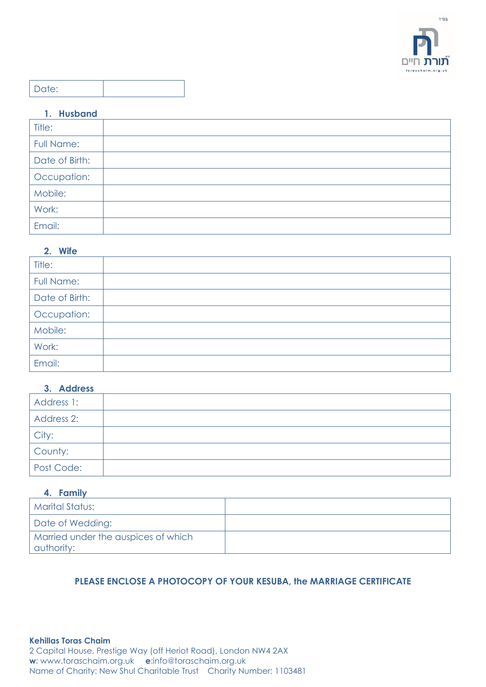

# Date:

## **1. Husband**

| Title:            |  |
|-------------------|--|
| <b>Full Name:</b> |  |
| Date of Birth:    |  |
| Occupation:       |  |
| Mobile:           |  |
| Work:             |  |
| Email:            |  |

## **2. Wife**

| Title:            |  |
|-------------------|--|
| <b>Full Name:</b> |  |
| Date of Birth:    |  |
| Occupation:       |  |
| Mobile:           |  |
| Work:             |  |
| Email:            |  |

## **3. Address**

| Address 1: |  |
|------------|--|
| Address 2: |  |
| City:      |  |
| County:    |  |
| Post Code: |  |

## **4. Family**

| Marital Status:                                   |  |
|---------------------------------------------------|--|
| Date of Wedding:                                  |  |
| Married under the auspices of which<br>authority: |  |

# **PLEASE ENCLOSE A PHOTOCOPY OF YOUR KESUBA, the MARRIAGE CERTIFICATE**